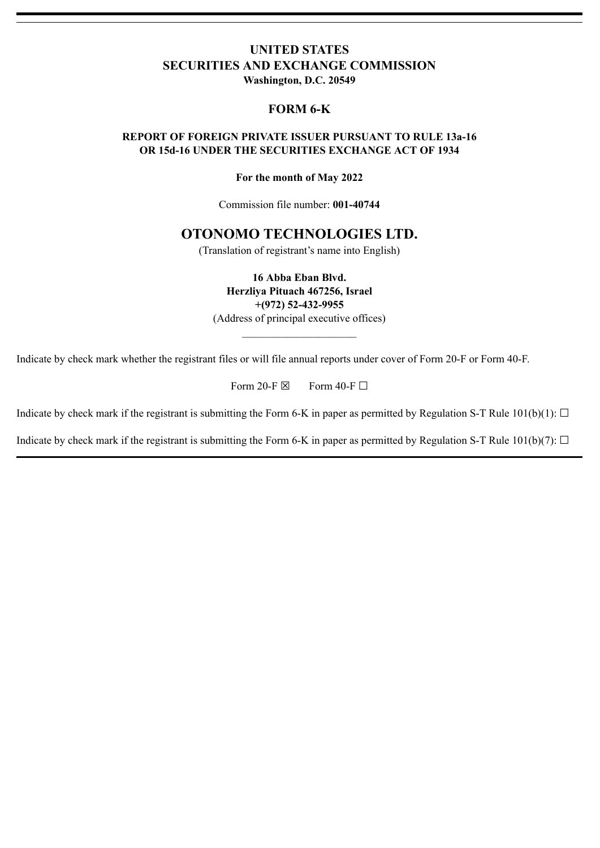# **UNITED STATES SECURITIES AND EXCHANGE COMMISSION**

**Washington, D.C. 20549**

#### **FORM 6-K**

#### **REPORT OF FOREIGN PRIVATE ISSUER PURSUANT TO RULE 13a-16 OR 15d-16 UNDER THE SECURITIES EXCHANGE ACT OF 1934**

#### **For the month of May 2022**

Commission file number: **001-40744**

### **OTONOMO TECHNOLOGIES LTD.**

(Translation of registrant's name into English)

**16 Abba Eban Blvd. Herzliya Pituach 467256, Israel +(972) 52-432-9955** (Address of principal executive offices)

 $\overline{\phantom{a}}$  , where  $\overline{\phantom{a}}$ 

Indicate by check mark whether the registrant files or will file annual reports under cover of Form 20-F or Form 40-F.

Form 20-F  $\boxtimes$  Form 40-F  $\Box$ 

Indicate by check mark if the registrant is submitting the Form 6-K in paper as permitted by Regulation S-T Rule  $101(b)(1)$ :  $\Box$ 

Indicate by check mark if the registrant is submitting the Form 6-K in paper as permitted by Regulation S-T Rule  $101(b)(7)$ :  $\Box$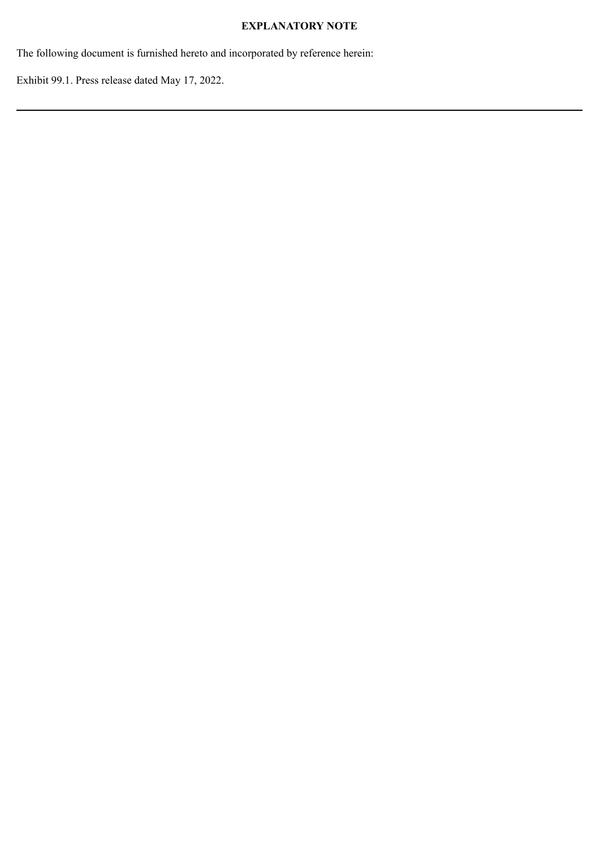## **EXPLANATORY NOTE**

The following document is furnished hereto and incorporated by reference herein:

Exhibit 99.1. Press release dated May 17, 2022.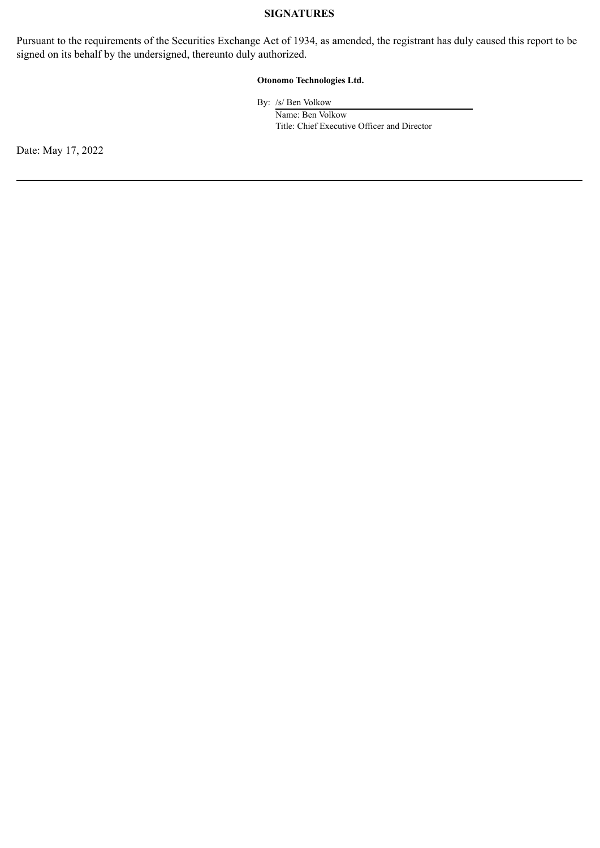#### **SIGNATURES**

Pursuant to the requirements of the Securities Exchange Act of 1934, as amended, the registrant has duly caused this report to be signed on its behalf by the undersigned, thereunto duly authorized.

#### **Otonomo Technologies Ltd.**

By: /s/ Ben Volkow

Name: Ben Volkow Title: Chief Executive Officer and Director

Date: May 17, 2022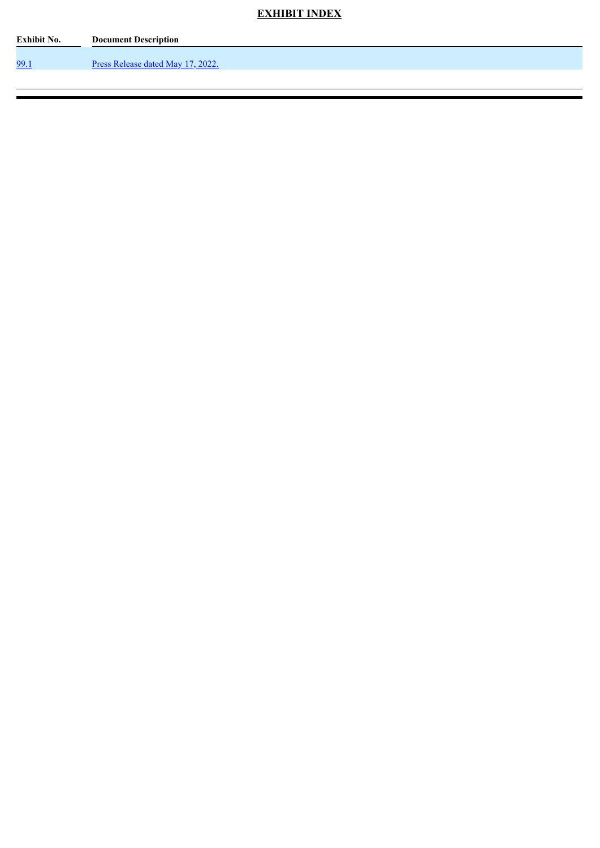# **EXHIBIT INDEX**

| Exhibit No. | <b>Document Description</b>       |
|-------------|-----------------------------------|
| 99.1        | Press Release dated May 17, 2022. |
|             |                                   |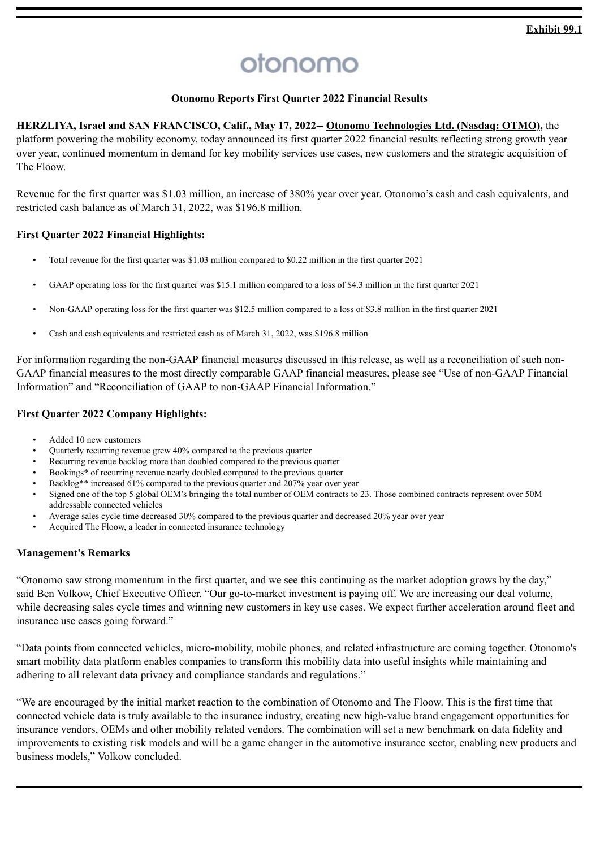# otonomo

#### **Otonomo Reports First Quarter 2022 Financial Results**

<span id="page-4-0"></span>**HERZLIYA, Israel and SAN FRANCISCO, Calif., May 17, 2022-- Otonomo Technologies Ltd. (Nasdaq: OTMO),** the platform powering the mobility economy, today announced its first quarter 2022 financial results reflecting strong growth year over year, continued momentum in demand for key mobility services use cases, new customers and the strategic acquisition of The Floow.

Revenue for the first quarter was \$1.03 million, an increase of 380% year over year. Otonomo's cash and cash equivalents, and restricted cash balance as of March 31, 2022, was \$196.8 million.

#### **First Quarter 2022 Financial Highlights:**

- Total revenue for the first quarter was \$1.03 million compared to \$0.22 million in the first quarter 2021
- GAAP operating loss for the first quarter was \$15.1 million compared to a loss of \$4.3 million in the first quarter 2021
- Non-GAAP operating loss for the first quarter was \$12.5 million compared to a loss of \$3.8 million in the first quarter 2021
- Cash and cash equivalents and restricted cash as of March 31, 2022, was \$196.8 million

For information regarding the non-GAAP financial measures discussed in this release, as well as a reconciliation of such non-GAAP financial measures to the most directly comparable GAAP financial measures, please see "Use of non-GAAP Financial Information" and "Reconciliation of GAAP to non-GAAP Financial Information."

#### **First Quarter 2022 Company Highlights:**

- Added 10 new customers
- Quarterly recurring revenue grew 40% compared to the previous quarter
- Recurring revenue backlog more than doubled compared to the previous quarter
- Bookings<sup>\*</sup> of recurring revenue nearly doubled compared to the previous quarter
- Backlog<sup>\*\*</sup> increased 61% compared to the previous quarter and 207% year over year
- Signed one of the top 5 global OEM's bringing the total number of OEM contracts to 23. Those combined contracts represent over 50M addressable connected vehicles
- Average sales cycle time decreased 30% compared to the previous quarter and decreased 20% year over year
- Acquired The Floow, a leader in connected insurance technology

#### **Management's Remarks**

"Otonomo saw strong momentum in the first quarter, and we see this continuing as the market adoption grows by the day," said Ben Volkow, Chief Executive Officer. "Our go-to-market investment is paying off. We are increasing our deal volume, while decreasing sales cycle times and winning new customers in key use cases. We expect further acceleration around fleet and insurance use cases going forward."

"Data points from connected vehicles, micro-mobility, mobile phones, and related infrastructure are coming together. Otonomo's smart mobility data platform enables companies to transform this mobility data into useful insights while maintaining and adhering to all relevant data privacy and compliance standards and regulations."

"We are encouraged by the initial market reaction to the combination of Otonomo and The Floow. This is the first time that connected vehicle data is truly available to the insurance industry, creating new high-value brand engagement opportunities for insurance vendors, OEMs and other mobility related vendors. The combination will set a new benchmark on data fidelity and improvements to existing risk models and will be a game changer in the automotive insurance sector, enabling new products and business models," Volkow concluded.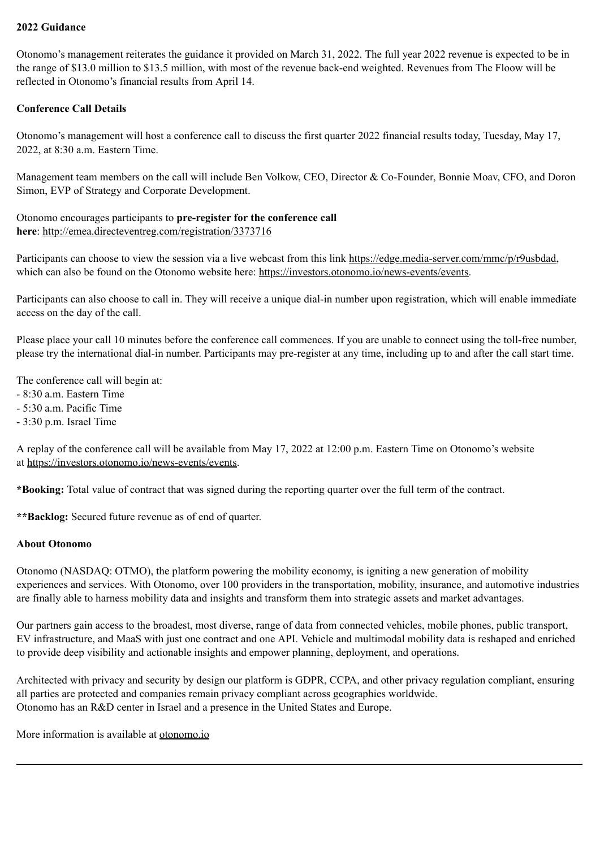#### **2022 Guidance**

Otonomo's management reiterates the guidance it provided on March 31, 2022. The full year 2022 revenue is expected to be in the range of \$13.0 million to \$13.5 million, with most of the revenue back-end weighted. Revenues from The Floow will be reflected in Otonomo's financial results from April 14.

#### **Conference Call Details**

Otonomo's management will host a conference call to discuss the first quarter 2022 financial results today, Tuesday, May 17, 2022, at 8:30 a.m. Eastern Time.

Management team members on the call will include Ben Volkow, CEO, Director & Co-Founder, Bonnie Moav, CFO, and Doron Simon, EVP of Strategy and Corporate Development.

Otonomo encourages participants to **pre-register for the conference call here**: http://emea.directeventreg.com/registration/3373716

Participants can choose to view the session via a live webcast from this link https://edge.media-server.com/mmc/p/r9usbdad, which can also be found on the Otonomo website here: https://investors.otonomo.io/news-events/events.

Participants can also choose to call in. They will receive a unique dial-in number upon registration, which will enable immediate access on the day of the call.

Please place your call 10 minutes before the conference call commences. If you are unable to connect using the toll-free number, please try the international dial-in number. Participants may pre-register at any time, including up to and after the call start time.

The conference call will begin at:

- 8:30 a.m. Eastern Time
- 5:30 a.m. Pacific Time
- 3:30 p.m. Israel Time

A replay of the conference call will be available from May 17, 2022 at 12:00 p.m. Eastern Time on Otonomo's website at https://investors.otonomo.io/news-events/events.

**\*Booking:** Total value of contract that was signed during the reporting quarter over the full term of the contract.

**\*\*Backlog:** Secured future revenue as of end of quarter.

#### **About Otonomo**

Otonomo (NASDAQ: OTMO), the platform powering the mobility economy, is igniting a new generation of mobility experiences and services. With Otonomo, over 100 providers in the transportation, mobility, insurance, and automotive industries are finally able to harness mobility data and insights and transform them into strategic assets and market advantages.

Our partners gain access to the broadest, most diverse, range of data from connected vehicles, mobile phones, public transport, EV infrastructure, and MaaS with just one contract and one API. Vehicle and multimodal mobility data is reshaped and enriched to provide deep visibility and actionable insights and empower planning, deployment, and operations.

Architected with privacy and security by design our platform is GDPR, CCPA, and other privacy regulation compliant, ensuring all parties are protected and companies remain privacy compliant across geographies worldwide. Otonomo has an R&D center in Israel and a presence in the United States and Europe.

More information is available at otonomo.io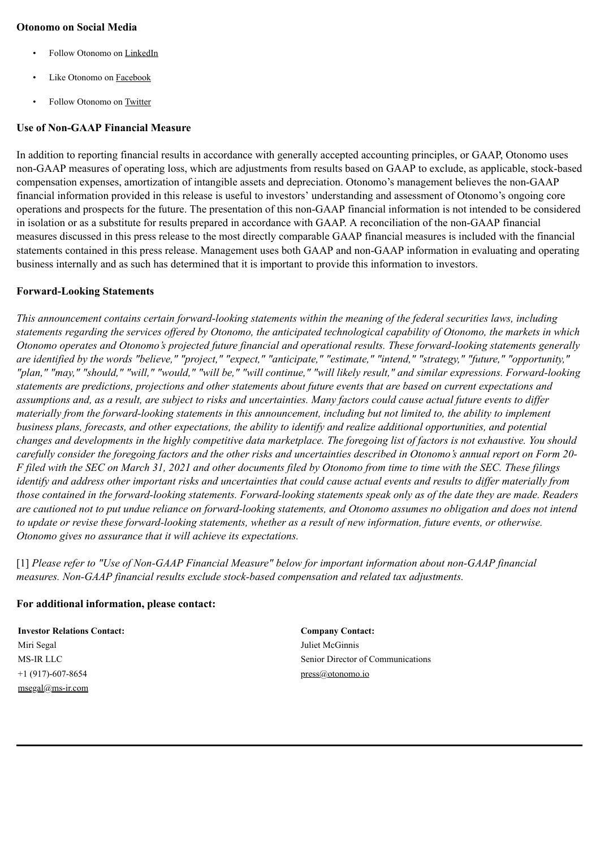#### **Otonomo on Social Media**

- Follow Otonomo on LinkedIn
- Like Otonomo on Facebook
- Follow Otonomo on Twitter

#### **Use of Non-GAAP Financial Measure**

In addition to reporting financial results in accordance with generally accepted accounting principles, or GAAP, Otonomo uses non-GAAP measures of operating loss, which are adjustments from results based on GAAP to exclude, as applicable, stock-based compensation expenses, amortization of intangible assets and depreciation. Otonomo's management believes the non-GAAP financial information provided in this release is useful to investors' understanding and assessment of Otonomo's ongoing core operations and prospects for the future. The presentation of this non-GAAP financial information is not intended to be considered in isolation or as a substitute for results prepared in accordance with GAAP. A reconciliation of the non-GAAP financial measures discussed in this press release to the most directly comparable GAAP financial measures is included with the financial statements contained in this press release. Management uses both GAAP and non-GAAP information in evaluating and operating business internally and as such has determined that it is important to provide this information to investors.

#### **Forward-Looking Statements**

*This announcement contains certain forward-looking statements within the meaning of the federal securities laws, including statements regarding the services offered by Otonomo, the anticipated technological capability of Otonomo, the markets in which Otonomo operates and Otonomo's projected future financial and operational results. These forward-looking statements generally are identified by the words "believe," "project," "expect," "anticipate," "estimate," "intend," "strategy," "future," "opportunity," "plan," "may," "should," "will," "would," "will be," "will continue," "will likely result," and similar expressions. Forward-looking statements are predictions, projections and other statements about future events that are based on current expectations and assumptions and, as a result, are subject to risks and uncertainties. Many factors could cause actual future events to differ materially from the forward-looking statements in this announcement, including but not limited to, the ability to implement business plans, forecasts, and other expectations, the ability to identify and realize additional opportunities, and potential changes and developments in the highly competitive data marketplace. The foregoing list of factors is not exhaustive. You should carefully consider the foregoing factors and the other risks and uncertainties described in Otonomo's annual report on Form 20- F filed with the SEC on March 31, 2021 and other documents filed by Otonomo from time to time with the SEC. These filings identify and address other important risks and uncertainties that could cause actual events and results to differ materially from those contained in the forward-looking statements. Forward-looking statements speak only as of the date they are made. Readers are cautioned not to put undue reliance on forward-looking statements, and Otonomo assumes no obligation and does not intend to update or revise these forward-looking statements, whether as a result of new information, future events, or otherwise. Otonomo gives no assurance that it will achieve its expectations.*

[1] *Please refer to "Use of Non-GAAP Financial Measure" below for important information about non-GAAP financial measures. Non-GAAP financial results exclude stock-based compensation and related tax adjustments.*

#### **For additional information, please contact:**

**Investor Relations Contact: Company Contact:** Miri Segal Juliet McGinnis +1 (917)-607-8654 press $@$ otonomo.io msegal@ms-ir.com

MS-IR LLC Senior Director of Communications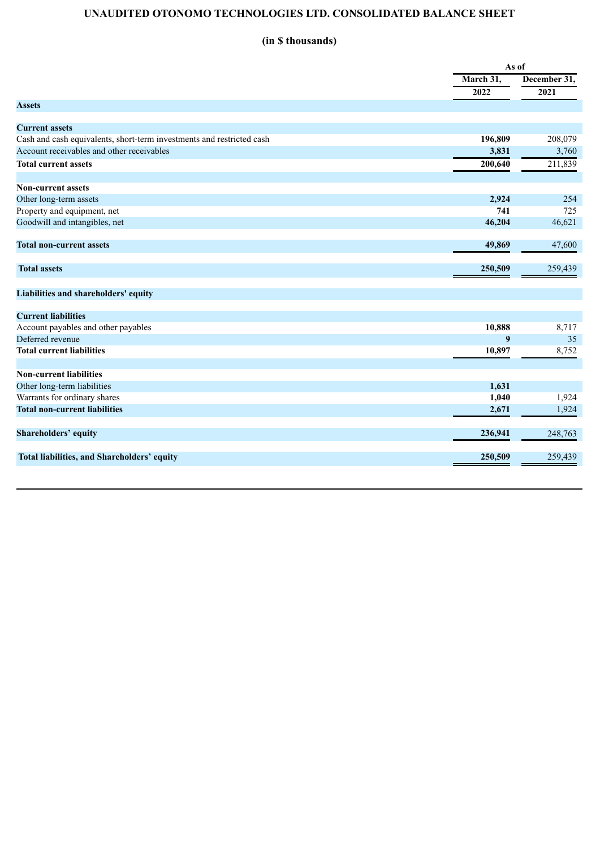# **UNAUDITED OTONOMO TECHNOLOGIES LTD. CONSOLIDATED BALANCE SHEET**

## **(in \$ thousands)**

|                                                                       |                  | As of                |
|-----------------------------------------------------------------------|------------------|----------------------|
|                                                                       | March 31,        | December 31,<br>2021 |
|                                                                       | 2022             |                      |
| <b>Assets</b>                                                         |                  |                      |
|                                                                       |                  |                      |
| <b>Current assets</b>                                                 |                  |                      |
| Cash and cash equivalents, short-term investments and restricted cash | 196,809          | 208,079              |
| Account receivables and other receivables                             | 3,831            | 3,760                |
| <b>Total current assets</b>                                           | 200,640          | 211,839              |
| <b>Non-current assets</b>                                             |                  |                      |
| Other long-term assets                                                | 2,924            | 254                  |
| Property and equipment, net                                           | 741              | 725                  |
| Goodwill and intangibles, net                                         | 46,204           | 46,621               |
|                                                                       |                  |                      |
| <b>Total non-current assets</b>                                       | 49,869           | 47,600               |
|                                                                       |                  |                      |
| <b>Total assets</b>                                                   | 250,509          | 259,439              |
| Liabilities and shareholders' equity                                  |                  |                      |
| <b>Current liabilities</b>                                            |                  |                      |
| Account payables and other payables                                   | 10,888           | 8,717                |
| Deferred revenue                                                      | $\boldsymbol{9}$ | 35                   |
| <b>Total current liabilities</b>                                      | 10,897           | 8,752                |
| <b>Non-current liabilities</b>                                        |                  |                      |
| Other long-term liabilities                                           | 1,631            |                      |
| Warrants for ordinary shares                                          | 1,040            | 1,924                |
| <b>Total non-current liabilities</b>                                  | 2,671            | 1,924                |
|                                                                       |                  |                      |
| <b>Shareholders' equity</b>                                           | 236,941          | 248,763              |
| Total liabilities, and Shareholders' equity                           | 250,509          | 259,439              |
|                                                                       |                  |                      |